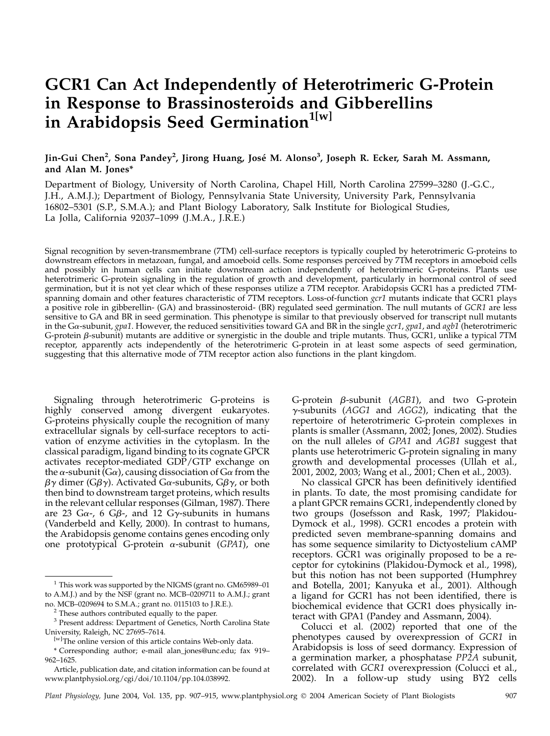# GCR1 Can Act Independently of Heterotrimeric G-Protein in Response to Brassinosteroids and Gibberellins in Arabidopsis Seed Germination<sup>1[w]</sup>

# Jin-Gui Chen<sup>2</sup>, Sona Pandey<sup>2</sup>, Jirong Huang, José M. Alonso<sup>3</sup>, Joseph R. Ecker, Sarah M. Assmann, and Alan M. Jones\*

Department of Biology, University of North Carolina, Chapel Hill, North Carolina 27599–3280 (J.-G.C., J.H., A.M.J.); Department of Biology, Pennsylvania State University, University Park, Pennsylvania 16802–5301 (S.P., S.M.A.); and Plant Biology Laboratory, Salk Institute for Biological Studies, La Jolla, California 92037–1099 (J.M.A., J.R.E.)

Signal recognition by seven-transmembrane (7TM) cell-surface receptors is typically coupled by heterotrimeric G-proteins to downstream effectors in metazoan, fungal, and amoeboid cells. Some responses perceived by 7TM receptors in amoeboid cells and possibly in human cells can initiate downstream action independently of heterotrimeric G-proteins. Plants use heterotrimeric G-protein signaling in the regulation of growth and development, particularly in hormonal control of seed germination, but it is not yet clear which of these responses utilize a 7TM receptor. Arabidopsis GCR1 has a predicted 7TMspanning domain and other features characteristic of 7TM receptors. Loss-of-function gcr1 mutants indicate that GCR1 plays a positive role in gibberellin- (GA) and brassinosteroid- (BR) regulated seed germination. The null mutants of GCR1 are less sensitive to GA and BR in seed germination. This phenotype is similar to that previously observed for transcript null mutants in the G $\alpha$ -subunit, gpa1. However, the reduced sensitivities toward GA and BR in the single gcr1, gpa1, and agb1 (heterotrimeric G-protein  $\beta$ -subunit) mutants are additive or synergistic in the double and triple mutants. Thus, GCR1, unlike a typical 7TM receptor, apparently acts independently of the heterotrimeric G-protein in at least some aspects of seed germination, suggesting that this alternative mode of 7TM receptor action also functions in the plant kingdom.

Signaling through heterotrimeric G-proteins is highly conserved among divergent eukaryotes. G-proteins physically couple the recognition of many extracellular signals by cell-surface receptors to activation of enzyme activities in the cytoplasm. In the classical paradigm, ligand binding to its cognate GPCR activates receptor-mediated GDP/GTP exchange on the  $\alpha$ -subunit (G $\alpha$ ), causing dissociation of G $\alpha$  from the  $\beta\gamma$  dimer (G $\beta\gamma$ ). Activated G $\alpha$ -subunits, G $\beta\gamma$ , or both then bind to downstream target proteins, which results in the relevant cellular responses (Gilman, 1987). There are 23 G $\alpha$ -, 6 G $\beta$ -, and 12 G $\gamma$ -subunits in humans (Vanderbeld and Kelly, 2000). In contrast to humans, the Arabidopsis genome contains genes encoding only one prototypical G-protein  $\alpha$ -subunit (GPA1), one G-protein  $\beta$ -subunit (AGB1), and two G-protein  $\gamma$ -subunits (AGG1 and AGG2), indicating that the repertoire of heterotrimeric G-protein complexes in plants is smaller (Assmann, 2002; Jones, 2002). Studies on the null alleles of GPA1 and AGB1 suggest that plants use heterotrimeric G-protein signaling in many growth and developmental processes (Ullah et al., 2001, 2002, 2003; Wang et al., 2001; Chen et al., 2003).

No classical GPCR has been definitively identified in plants. To date, the most promising candidate for a plant GPCR remains GCR1, independently cloned by two groups (Josefsson and Rask, 1997; Plakidou-Dymock et al., 1998). GCR1 encodes a protein with predicted seven membrane-spanning domains and has some sequence similarity to Dictyostelium cAMP receptors. GCR1 was originally proposed to be a receptor for cytokinins (Plakidou-Dymock et al., 1998), but this notion has not been supported (Humphrey and Botella, 2001; Kanyuka et al., 2001). Although a ligand for GCR1 has not been identified, there is biochemical evidence that GCR1 does physically interact with GPA1 (Pandey and Assmann, 2004).

Colucci et al. (2002) reported that one of the phenotypes caused by overexpression of GCR1 in Arabidopsis is loss of seed dormancy. Expression of a germination marker, a phosphatase PP2A subunit, correlated with GCR1 overexpression (Colucci et al., 2002). In a follow-up study using BY2 cells

 $1$  This work was supported by the NIGMS (grant no. GM65989-01) to A.M.J.) and by the NSF (grant no. MCB–0209711 to A.M.J.; grant no. MCB–0209694 to S.M.A.; grant no. 0115103 to J.R.E.).

<sup>&</sup>lt;sup>2</sup> These authors contributed equally to the paper.

<sup>&</sup>lt;sup>3</sup> Present address: Department of Genetics, North Carolina State University, Raleigh, NC 27695–7614.

<sup>[</sup>w]The online version of this article contains Web-only data.

<sup>\*</sup> Corresponding author; e-mail alan\_jones@unc.edu; fax 919– 962–1625.

Article, publication date, and citation information can be found at www.plantphysiol.org/cgi/doi/10.1104/pp.104.038992.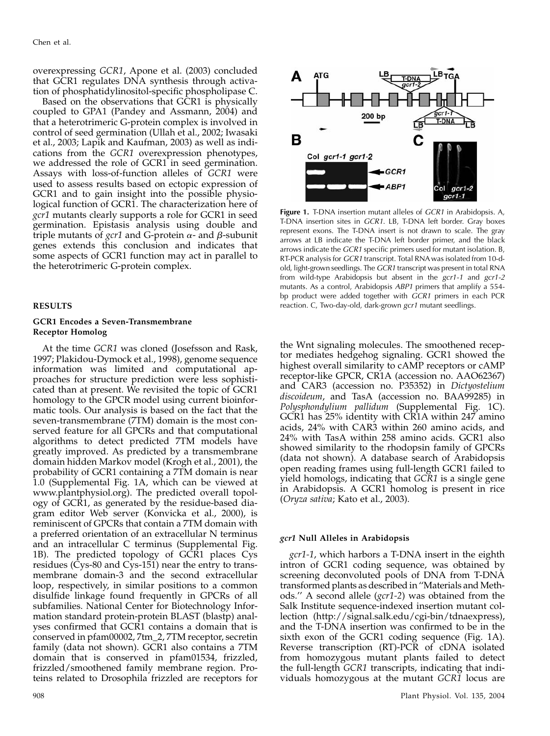overexpressing GCR1, Apone et al. (2003) concluded that GCR1 regulates DNA synthesis through activation of phosphatidylinositol-specific phospholipase C.

Based on the observations that GCR1 is physically coupled to GPA1 (Pandey and Assmann, 2004) and that a heterotrimeric G-protein complex is involved in control of seed germination (Ullah et al., 2002; Iwasaki et al., 2003; Lapik and Kaufman, 2003) as well as indications from the GCR1 overexpression phenotypes, we addressed the role of GCR1 in seed germination. Assays with loss-of-function alleles of GCR1 were used to assess results based on ectopic expression of GCR1 and to gain insight into the possible physiological function of GCR1. The characterization here of gcr1 mutants clearly supports a role for GCR1 in seed germination. Epistasis analysis using double and triple mutants of gcr1 and G-protein  $\alpha$ - and  $\beta$ -subunit genes extends this conclusion and indicates that some aspects of GCR1 function may act in parallel to the heterotrimeric G-protein complex.

#### RESULTS

# GCR1 Encodes a Seven-Transmembrane Receptor Homolog

At the time GCR1 was cloned (Josefsson and Rask, 1997; Plakidou-Dymock et al., 1998), genome sequence information was limited and computational approaches for structure prediction were less sophisticated than at present. We revisited the topic of GCR1 homology to the GPCR model using current bioinformatic tools. Our analysis is based on the fact that the seven-transmembrane (7TM) domain is the most conserved feature for all GPCRs and that computational algorithms to detect predicted 7TM models have greatly improved. As predicted by a transmembrane domain hidden Markov model (Krogh et al., 2001), the probability of GCR1 containing a 7TM domain is near 1.0 (Supplemental Fig. 1A, which can be viewed at www.plantphysiol.org). The predicted overall topology of GCR1, as generated by the residue-based diagram editor Web server (Konvicka et al., 2000), is reminiscent of GPCRs that contain a 7TM domain with a preferred orientation of an extracellular N terminus and an intracellular C terminus (Supplemental Fig. 1B). The predicted topology of GCR1 places Cys residues (Cys-80 and Cys-151) near the entry to transmembrane domain-3 and the second extracellular loop, respectively, in similar positions to a common disulfide linkage found frequently in GPCRs of all subfamilies. National Center for Biotechnology Information standard protein-protein BLAST (blastp) analyses confirmed that GCR1 contains a domain that is conserved in pfam00002, 7tm\_2, 7TM receptor, secretin family (data not shown). GCR1 also contains a 7TM domain that is conserved in pfam01534, frizzled, frizzled/smoothened family membrane region. Proteins related to Drosophila frizzled are receptors for



Figure 1. T-DNA insertion mutant alleles of GCR1 in Arabidopsis. A, T-DNA insertion sites in GCR1. LB, T-DNA left border. Gray boxes represent exons. The T-DNA insert is not drawn to scale. The gray arrows at LB indicate the T-DNA left border primer, and the black arrows indicate the GCR1 specific primers used for mutant isolation. B, RT-PCR analysis for GCR1 transcript. Total RNA was isolated from 10-dold, light-grown seedlings. The GCR1 transcript was present in total RNA from wild-type Arabidopsis but absent in the gcr1-1 and gcr1-2 mutants. As a control, Arabidopsis ABP1 primers that amplify a 554 bp product were added together with GCR1 primers in each PCR reaction. C, Two-day-old, dark-grown gcr1 mutant seedlings.

the Wnt signaling molecules. The smoothened receptor mediates hedgehog signaling. GCR1 showed the highest overall similarity to cAMP receptors or cAMP receptor-like GPCR, CR1A (accession no. AAO62367) and CAR3 (accession no. P35352) in Dictyostelium discoideum, and TasA (accession no. BAA99285) in Polysphondylium pallidum (Supplemental Fig. 1C). GCR1 has 25% identity with CR1A within 247 amino acids, 24% with CAR3 within 260 amino acids, and 24% with TasA within 258 amino acids. GCR1 also showed similarity to the rhodopsin family of GPCRs (data not shown). A database search of Arabidopsis open reading frames using full-length GCR1 failed to yield homologs, indicating that GCR1 is a single gene in Arabidopsis. A GCR1 homolog is present in rice (Oryza sativa; Kato et al., 2003).

### gcr1 Null Alleles in Arabidopsis

gcr1-1, which harbors a T-DNA insert in the eighth intron of GCR1 coding sequence, was obtained by screening deconvoluted pools of DNA from T-DNA transformed plants as described in ''Materials and Methods." A second allele (gcr1-2) was obtained from the Salk Institute sequence-indexed insertion mutant collection (http://signal.salk.edu/cgi-bin/tdnaexpress), and the T-DNA insertion was confirmed to be in the sixth exon of the GCR1 coding sequence (Fig. 1A). Reverse transcription (RT)-PCR of cDNA isolated from homozygous mutant plants failed to detect the full-length GCR1 transcripts, indicating that individuals homozygous at the mutant GCR1 locus are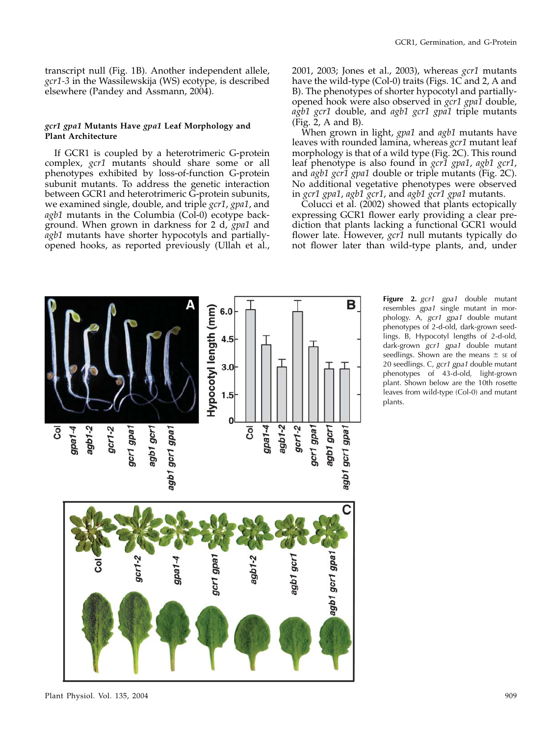transcript null (Fig. 1B). Another independent allele, gcr1-3 in the Wassilewskija (WS) ecotype, is described elsewhere (Pandey and Assmann, 2004).

# gcr1 gpa1 Mutants Have gpa1 Leaf Morphology and Plant Architecture

If GCR1 is coupled by a heterotrimeric G-protein complex, gcr1 mutants should share some or all phenotypes exhibited by loss-of-function G-protein subunit mutants. To address the genetic interaction between GCR1 and heterotrimeric G-protein subunits, we examined single, double, and triple gcr1, gpa1, and agb1 mutants in the Columbia (Col-0) ecotype background. When grown in darkness for 2 d, gpa1 and agb1 mutants have shorter hypocotyls and partiallyopened hooks, as reported previously (Ullah et al., 2001, 2003; Jones et al., 2003), whereas gcr1 mutants have the wild-type (Col-0) traits (Figs. 1C and 2, A and B). The phenotypes of shorter hypocotyl and partiallyopened hook were also observed in gcr1 gpa1 double, agb1 gcr1 double, and agb1 gcr1 gpa1 triple mutants (Fig. 2, A and B).

When grown in light, *gpa1* and *agb1* mutants have leaves with rounded lamina, whereas gcr1 mutant leaf morphology is that of a wild type (Fig. 2C). This round leaf phenotype is also found in gcr1 gpa1, agb1 gcr1, and *agb1 gcr1 gpa1* double or triple mutants (Fig. 2C). No additional vegetative phenotypes were observed in gcr1 gpa1, agb1 gcr1, and agb1 gcr1 gpa1 mutants.

Colucci et al. (2002) showed that plants ectopically expressing GCR1 flower early providing a clear prediction that plants lacking a functional GCR1 would flower late. However,  $\gamma$  null mutants typically do not flower later than wild-type plants, and, under



Figure 2. gcr1 gpa1 double mutant resembles gpa1 single mutant in morphology. A, gcr1 gpa1 double mutant phenotypes of 2-d-old, dark-grown seedlings. B, Hypocotyl lengths of 2-d-old, dark-grown gcr1 gpa1 double mutant seedlings. Shown are the means  $\pm$  se of 20 seedlings. C, gcr1 gpa1 double mutant phenotypes of 43-d-old, light-grown plant. Shown below are the 10th rosette leaves from wild-type (Col-0) and mutant plants.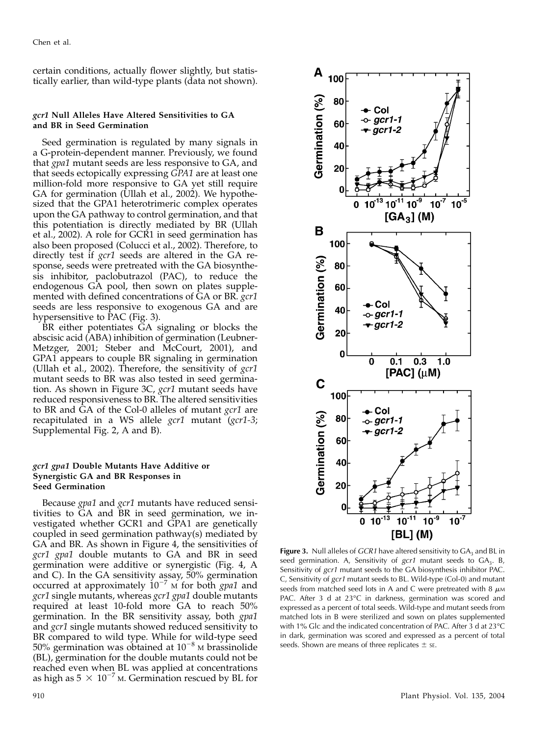certain conditions, actually flower slightly, but statistically earlier, than wild-type plants (data not shown).

# gcr1 Null Alleles Have Altered Sensitivities to GA and BR in Seed Germination

Seed germination is regulated by many signals in a G-protein-dependent manner. Previously, we found that *gpa1* mutant seeds are less responsive to GA, and that seeds ectopically expressing GPA1 are at least one million-fold more responsive to GA yet still require GA for germination (Ullah et al., 2002). We hypothesized that the GPA1 heterotrimeric complex operates upon the GA pathway to control germination, and that this potentiation is directly mediated by BR (Ullah et al., 2002). A role for GCR1 in seed germination has also been proposed (Colucci et al., 2002). Therefore, to directly test if gcr1 seeds are altered in the GA response, seeds were pretreated with the GA biosynthesis inhibitor, paclobutrazol (PAC), to reduce the endogenous GA pool, then sown on plates supplemented with defined concentrations of GA or BR. gcr1 seeds are less responsive to exogenous GA and are hypersensitive to PAC (Fig. 3).

BR either potentiates GA signaling or blocks the abscisic acid (ABA) inhibition of germination (Leubner-Metzger, 2001; Steber and McCourt, 2001), and GPA1 appears to couple BR signaling in germination (Ullah et al., 2002). Therefore, the sensitivity of  $\gamma$ cr1 mutant seeds to BR was also tested in seed germination. As shown in Figure 3C, gcr1 mutant seeds have reduced responsiveness to BR. The altered sensitivities to BR and GA of the Col-0 alleles of mutant *gcr1* are recapitulated in a WS allele gcr1 mutant (gcr1-3; Supplemental Fig. 2, A and B).

# gcr1 gpa1 Double Mutants Have Additive or Synergistic GA and BR Responses in Seed Germination

Because *gpa1* and *gcr1* mutants have reduced sensitivities to GA and BR in seed germination, we investigated whether GCR1 and GPA1 are genetically coupled in seed germination pathway(s) mediated by GA and BR. As shown in Figure 4, the sensitivities of gcr1 gpa1 double mutants to GA and BR in seed germination were additive or synergistic (Fig. 4, A and C). In the GA sensitivity assay, 50% germination occurred at approximately  $10^{-7}$  M for both gpa1 and gcr1 single mutants, whereas gcr1 gpa1 double mutants required at least 10-fold more GA to reach 50% germination. In the BR sensitivity assay, both gpa1 and *gcr1* single mutants showed reduced sensitivity to BR compared to wild type. While for wild-type seed 50% germination was obtained at  $10^{-8}$  M brassinolide (BL), germination for the double mutants could not be reached even when BL was applied at concentrations as high as  $5 \times 10^{-7}$  M. Germination rescued by BL for



Figure 3. Null alleles of  $GCR1$  have altered sensitivity to  $GA_3$  and BL in seed germination. A, Sensitivity of  $gcr1$  mutant seeds to  $GA_3$ . B, Sensitivity of gcr1 mutant seeds to the GA biosynthesis inhibitor PAC. C, Sensitivity of gcr1 mutant seeds to BL. Wild-type (Col-0) and mutant seeds from matched seed lots in A and C were pretreated with 8  $\mu$ M PAC. After 3 d at 23°C in darkness, germination was scored and expressed as a percent of total seeds. Wild-type and mutant seeds from matched lots in B were sterilized and sown on plates supplemented with 1% Glc and the indicated concentration of PAC. After 3 d at 23°C in dark, germination was scored and expressed as a percent of total seeds. Shown are means of three replicates  $\pm$  sE.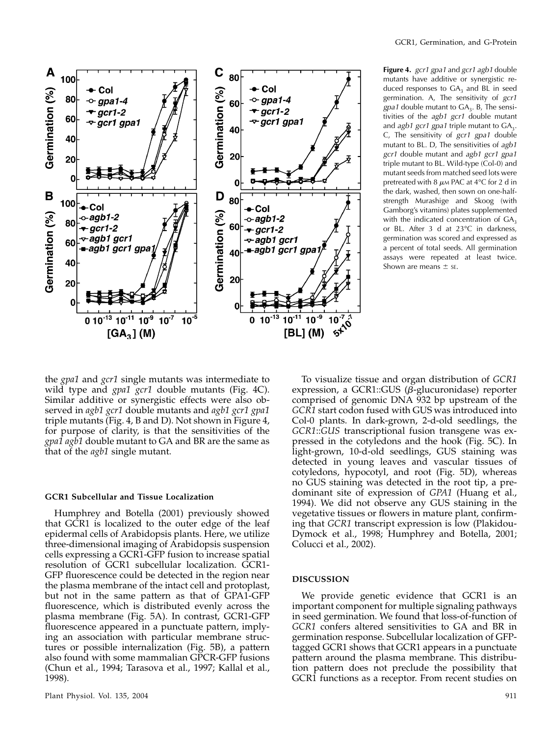

Figure 4. gcr1 gpa1 and gcr1 agb1 double mutants have additive or synergistic reduced responses to  $GA<sub>3</sub>$  and BL in seed germination. A, The sensitivity of gcr1  $gpa1$  double mutant to  $GA_3$ . B, The sensitivities of the agb1 gcr1 double mutant and agb1 gcr1 gpa1 triple mutant to  $GA<sub>3</sub>$ . C, The sensitivity of gcr1 gpa1 double mutant to BL. D, The sensitivities of agb1 gcr1 double mutant and agb1 gcr1 gpa1 triple mutant to BL. Wild-type (Col-0) and mutant seeds from matched seed lots were pretreated with 8  $\mu$ м PAC at 4°C for 2 d in the dark, washed, then sown on one-halfstrength Murashige and Skoog (with Gamborg's vitamins) plates supplemented with the indicated concentration of  $GA_3$ or BL. After 3 d at 23°C in darkness, germination was scored and expressed as a percent of total seeds. All germination assays were repeated at least twice. Shown are means  $\pm$  se.

the gpa1 and gcr1 single mutants was intermediate to wild type and *gpa1 gcr1* double mutants (Fig. 4C). Similar additive or synergistic effects were also observed in *agb1 gcr1* double mutants and *agb1 gcr1 gpa1* triple mutants (Fig. 4, B and D). Not shown in Figure 4, for purpose of clarity, is that the sensitivities of the gpa1 agb1 double mutant to GA and BR are the same as that of the *agb1* single mutant.

#### GCR1 Subcellular and Tissue Localization

Humphrey and Botella (2001) previously showed that GCR1 is localized to the outer edge of the leaf epidermal cells of Arabidopsis plants. Here, we utilize three-dimensional imaging of Arabidopsis suspension cells expressing a GCR1-GFP fusion to increase spatial resolution of GCR1 subcellular localization. GCR1- GFP fluorescence could be detected in the region near the plasma membrane of the intact cell and protoplast, but not in the same pattern as that of GPA1-GFP fluorescence, which is distributed evenly across the plasma membrane (Fig. 5A). In contrast, GCR1-GFP fluorescence appeared in a punctuate pattern, implying an association with particular membrane structures or possible internalization (Fig. 5B), a pattern also found with some mammalian GPCR-GFP fusions (Chun et al., 1994; Tarasova et al., 1997; Kallal et al., 1998).

To visualize tissue and organ distribution of GCR1 expression, a GCR1::GUS ( $\beta$ -glucuronidase) reporter comprised of genomic DNA 932 bp upstream of the GCR1 start codon fused with GUS was introduced into Col-0 plants. In dark-grown, 2-d-old seedlings, the GCR1::GUS transcriptional fusion transgene was expressed in the cotyledons and the hook (Fig. 5C). In light-grown, 10-d-old seedlings, GUS staining was detected in young leaves and vascular tissues of cotyledons, hypocotyl, and root (Fig. 5D), whereas no GUS staining was detected in the root tip, a predominant site of expression of GPA1 (Huang et al., 1994). We did not observe any GUS staining in the vegetative tissues or flowers in mature plant, confirming that GCR1 transcript expression is low (Plakidou-Dymock et al., 1998; Humphrey and Botella, 2001; Colucci et al., 2002).

## DISCUSSION

We provide genetic evidence that GCR1 is an important component for multiple signaling pathways in seed germination. We found that loss-of-function of GCR1 confers altered sensitivities to GA and BR in germination response. Subcellular localization of GFPtagged GCR1 shows that GCR1 appears in a punctuate pattern around the plasma membrane. This distribution pattern does not preclude the possibility that GCR1 functions as a receptor. From recent studies on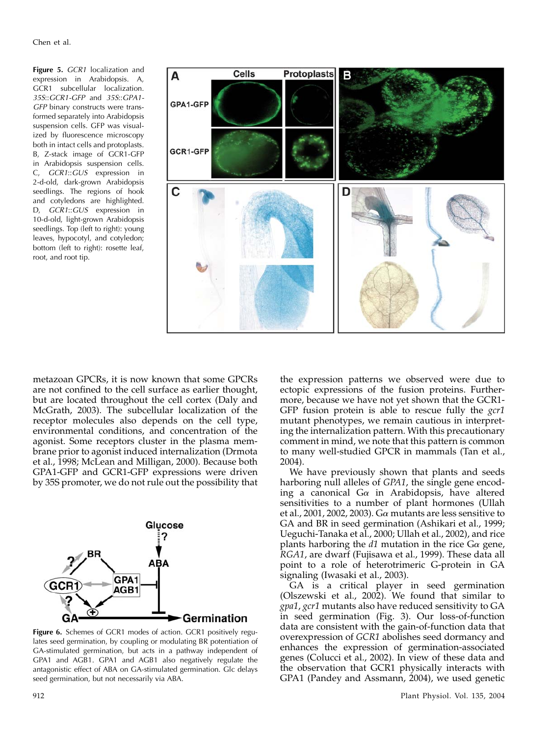Figure 5. GCR1 localization and expression in Arabidopsis. A, GCR1 subcellular localization. 35S::GCR1-GFP and 35S::GPA1- GFP binary constructs were transformed separately into Arabidopsis suspension cells. GFP was visualized by fluorescence microscopy both in intact cells and protoplasts. B, Z-stack image of GCR1-GFP in Arabidopsis suspension cells. C, GCR1::GUS expression in 2-d-old, dark-grown Arabidopsis seedlings. The regions of hook and cotyledons are highlighted. D, GCR1::GUS expression in 10-d-old, light-grown Arabidopsis seedlings. Top (left to right): young leaves, hypocotyl, and cotyledon; bottom (left to right): rosette leaf, root, and root tip.



metazoan GPCRs, it is now known that some GPCRs are not confined to the cell surface as earlier thought, but are located throughout the cell cortex (Daly and McGrath, 2003). The subcellular localization of the receptor molecules also depends on the cell type, environmental conditions, and concentration of the agonist. Some receptors cluster in the plasma membrane prior to agonist induced internalization (Drmota et al., 1998; McLean and Milligan, 2000). Because both GPA1-GFP and GCR1-GFP expressions were driven by 35S promoter, we do not rule out the possibility that



Figure 6. Schemes of GCR1 modes of action. GCR1 positively regulates seed germination, by coupling or modulating BR potentiation of GA-stimulated germination, but acts in a pathway independent of GPA1 and AGB1. GPA1 and AGB1 also negatively regulate the antagonistic effect of ABA on GA-stimulated germination. Glc delays seed germination, but not necessarily via ABA.

the expression patterns we observed were due to ectopic expressions of the fusion proteins. Furthermore, because we have not yet shown that the GCR1- GFP fusion protein is able to rescue fully the *gcr1* mutant phenotypes, we remain cautious in interpreting the internalization pattern. With this precautionary comment in mind, we note that this pattern is common to many well-studied GPCR in mammals (Tan et al., 2004).

We have previously shown that plants and seeds harboring null alleles of GPA1, the single gene encoding a canonical  $Ga$  in Arabidopsis, have altered sensitivities to a number of plant hormones (Ullah et al., 2001, 2002, 2003). G $\alpha$  mutants are less sensitive to GA and BR in seed germination (Ashikari et al., 1999; Ueguchi-Tanaka et al., 2000; Ullah et al., 2002), and rice plants harboring the  $d1$  mutation in the rice  $G\alpha$  gene, RGA1, are dwarf (Fujisawa et al., 1999). These data all point to a role of heterotrimeric G-protein in GA signaling (Iwasaki et al., 2003).

GA is a critical player in seed germination (Olszewski et al., 2002). We found that similar to gpa1, gcr1 mutants also have reduced sensitivity to GA in seed germination (Fig. 3). Our loss-of-function data are consistent with the gain-of-function data that overexpression of GCR1 abolishes seed dormancy and enhances the expression of germination-associated genes (Colucci et al., 2002). In view of these data and the observation that GCR1 physically interacts with GPA1 (Pandey and Assmann, 2004), we used genetic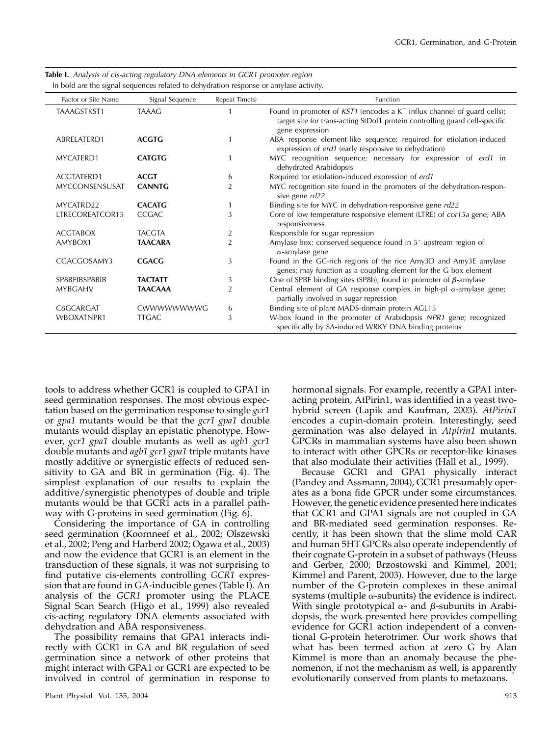| Factor or Site Name | Signal Sequence | Repeat Time(s) | Function                                                                                                                                                                       |
|---------------------|-----------------|----------------|--------------------------------------------------------------------------------------------------------------------------------------------------------------------------------|
| TAAAGSTKST1         | <b>TAAAG</b>    |                | Found in promoter of $KST1$ (encodes a $K^+$ influx channel of guard cells);<br>target site for trans-acting StDof1 protein controlling guard cell-specific<br>gene expression |
| ABRELATERD1         | <b>ACGTG</b>    |                | ABA response element-like sequence; required for etiolation-induced<br>expression of erd1 (early responsive to dehydration)                                                    |
| MYCATERD1           | <b>CATGTG</b>   |                | MYC recognition sequence; necessary for expression of erd1 in<br>dehydrated Arabidopsis                                                                                        |
| ACGTATERD1          | <b>ACGT</b>     | 6              | Required for etiolation-induced expression of erd1                                                                                                                             |
| MYCCONSENSUSAT      | <b>CANNTG</b>   | 2              | MYC recognition site found in the promoters of the dehydration-respon-<br>sive gene rd22                                                                                       |
| MYCATRD22           | <b>CACATG</b>   |                | Binding site for MYC in dehydration-responsive gene rd22                                                                                                                       |
| LTRECOREATCOR15     | <b>CCGAC</b>    | 3              | Core of low temperature responsive element (LTRE) of cor15a gene; ABA<br>responsiveness                                                                                        |
| <b>ACGTABOX</b>     | <b>TACGTA</b>   | 2              | Responsible for sugar repression                                                                                                                                               |
| AMYBOX1             | <b>TAACARA</b>  | $\overline{2}$ | Amylase box; conserved sequence found in 5'-upstream region of<br>$\alpha$ -amylase gene                                                                                       |
| CGACGOSAMY3         | <b>CGACG</b>    | 3              | Found in the GC-rich regions of the rice Amy3D and Amy3E amylase<br>genes; may function as a coupling element for the G box element                                            |
| SP8BFIBSP8BIB       | <b>TACTATT</b>  | 3              | One of SPBF binding sites (SP8b); found in promoter of $\beta$ -amylase                                                                                                        |
| <b>MYBGAHV</b>      | <b>TAACAAA</b>  | $\overline{2}$ | Central element of GA response complex in high-pl $\alpha$ -amylase gene;<br>partially involved in sugar repression                                                            |
| C8GCARGAT           | CWWWWWWWG       | 6              | Binding site of plant MADS-domain protein AGL15                                                                                                                                |
| WBOXATNPR1          | <b>TTGAC</b>    | 3              | W-box found in the promoter of Arabidopsis NPR1 gene; recognized<br>specifically by SA-induced WRKY DNA binding proteins                                                       |

| <b>Table I.</b> Analysis of cis-acting regulatory DNA elements in GCR1 promoter region |  |  |  |  |
|----------------------------------------------------------------------------------------|--|--|--|--|
| In bold are the signal sequences related to dehydration response or amylase activity.  |  |  |  |  |

tools to address whether GCR1 is coupled to GPA1 in seed germination responses. The most obvious expectation based on the germination response to single  $\sqrt{g}c r1$ or gpa1 mutants would be that the gcr1 gpa1 double mutants would display an epistatic phenotype. However, gcr1 gpa1 double mutants as well as agb1 gcr1 double mutants and agb1 gcr1 gpa1 triple mutants have mostly additive or synergistic effects of reduced sensitivity to GA and BR in germination (Fig. 4). The simplest explanation of our results to explain the additive/synergistic phenotypes of double and triple mutants would be that GCR1 acts in a parallel pathway with G-proteins in seed germination (Fig. 6).

Considering the importance of GA in controlling seed germination (Koornneef et al., 2002; Olszewski et al., 2002; Peng and Harberd 2002; Ogawa et al., 2003) and now the evidence that GCR1 is an element in the transduction of these signals, it was not surprising to find putative cis-elements controlling GCR1 expression that are found in GA-inducible genes (Table I). An analysis of the GCR1 promoter using the PLACE Signal Scan Search (Higo et al., 1999) also revealed cis-acting regulatory DNA elements associated with dehydration and ABA responsiveness.

The possibility remains that GPA1 interacts indirectly with GCR1 in GA and BR regulation of seed germination since a network of other proteins that might interact with GPA1 or GCR1 are expected to be involved in control of germination in response to hormonal signals. For example, recently a GPA1 interacting protein, AtPirin1, was identified in a yeast twohybrid screen (Lapik and Kaufman, 2003). AtPirin1 encodes a cupin-domain protein. Interestingly, seed germination was also delayed in Atpirin1 mutants. GPCRs in mammalian systems have also been shown to interact with other GPCRs or receptor-like kinases that also modulate their activities (Hall et al., 1999).

Because GCR1 and GPA1 physically interact (Pandey and Assmann, 2004), GCR1 presumably operates as a bona fide GPCR under some circumstances. However, the genetic evidence presented here indicates that GCR1 and GPA1 signals are not coupled in GA and BR-mediated seed germination responses. Recently, it has been shown that the slime mold CAR and human 5HT GPCRs also operate independently of their cognate G-protein in a subset of pathways (Heuss and Gerber, 2000; Brzostowski and Kimmel, 2001; Kimmel and Parent, 2003). However, due to the large number of the G-protein complexes in these animal systems (multiple  $\alpha$ -subunits) the evidence is indirect. With single prototypical  $\alpha$ - and  $\beta$ -subunits in Arabidopsis, the work presented here provides compelling evidence for GCR1 action independent of a conventional G-protein heterotrimer. Our work shows that what has been termed action at zero G by Alan Kimmel is more than an anomaly because the phenomenon, if not the mechanism as well, is apparently evolutionarily conserved from plants to metazoans.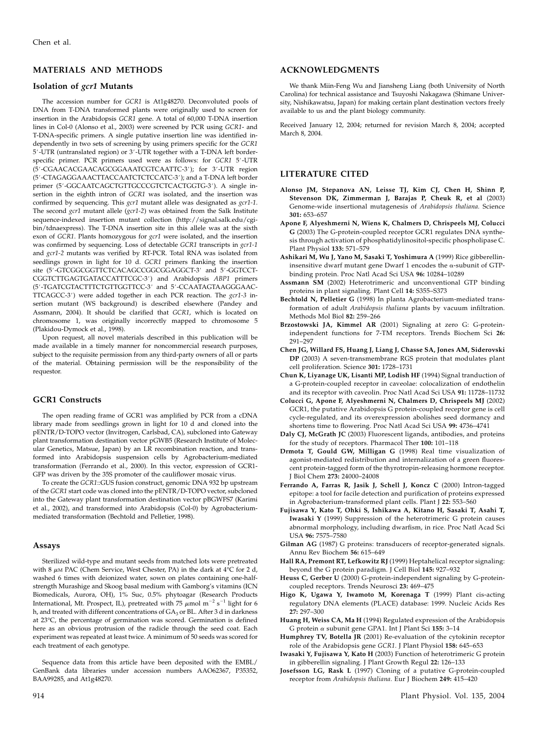# MATERIALS AND METHODS

#### Isolation of gcr1 Mutants

The accession number for GCR1 is At1g48270. Deconvoluted pools of DNA from T-DNA transformed plants were originally used to screen for insertion in the Arabidopsis GCR1 gene. A total of 60,000 T-DNA insertion lines in Col-0 (Alonso et al., 2003) were screened by PCR using GCR1- and T-DNA-specific primers. A single putative insertion line was identified independently in two sets of screening by using primers specific for the GCR1 5'-UTR (untranslated region) or 3'-UTR together with a T-DNA left borderspecific primer. PCR primers used were as follows: for GCR1 5'-UTR (5'-CGAACACGAACAGCGGAAATCGTCAATTC-3'); for 3'-UTR region (5'-CTAGAGGAAACTTACCAATCTCTCCATC-3'); and a T-DNA left border primer (5'-GGCAATCAGCTGTTGCCCGTCTCACTGGTG-3'). A single insertion in the eighth intron of GCR1 was isolated, and the insertion was confirmed by sequencing. This gcr1 mutant allele was designated as gcr1-1. The second gcr1 mutant allele (gcr1-2) was obtained from the Salk Institute sequence-indexed insertion mutant collection (http://signal.salk.edu/cgibin/tdnaexpress). The T-DNA insertion site in this allele was at the sixth exon of GCR1. Plants homozygous for gcr1 were isolated, and the insertion was confirmed by sequencing. Loss of detectable GCR1 transcripts in gcr1-1 and gcr1-2 mutants was verified by RT-PCR. Total RNA was isolated from seedlings grown in light for 10 d. GCR1 primers flanking the insertion site (5'-GTCGGCGGTTCTCACAGCCGGCGGAGGCT-3' and 5'-GGTCCT-CGGTCTTGAGTGATACCATTTCGC-3') and Arabidopsis ABP1 primers (5'-TGATCGTACTTTCTGTTGGTTCC-3' and 5'-CCAATAGTAAGGGAAC-TTCAGCC-3') were added together in each PCR reaction. The gcr1-3 insertion mutant (WS background) is described elsewhere (Pandey and Assmann, 2004). It should be clarified that GCR1, which is located on chromosome 1, was originally incorrectly mapped to chromosome 5 (Plakidou-Dymock et al., 1998).

Upon request, all novel materials described in this publication will be made available in a timely manner for noncommercial research purposes, subject to the requisite permission from any third-party owners of all or parts of the material. Obtaining permission will be the responsibility of the requestor.

#### GCR1 Constructs

The open reading frame of GCR1 was amplified by PCR from a cDNA library made from seedlings grown in light for 10 d and cloned into the pENTR/D-TOPO vector (Invitrogen, Carlsbad, CA), subcloned into Gateway plant transformation destination vector pGWB5 (Research Institute of Molecular Genetics, Matsue, Japan) by an LR recombination reaction, and transformed into Arabidopsis suspension cells by Agrobacterium-mediated transformation (Ferrando et al., 2000). In this vector, expression of GCR1- GFP was driven by the 35S promoter of the cauliflower mosaic virus.

To create the GCR1::GUS fusion construct, genomic DNA 932 bp upstream of the GCR1 start code was cloned into the pENTR/D-TOPO vector, subcloned into the Gateway plant transformation destination vector pBGWFS7 (Karimi et al., 2002), and transformed into Arabidopsis (Col-0) by Agrobacteriummediated transformation (Bechtold and Pelletier, 1998).

#### Assays

Sterilized wild-type and mutant seeds from matched lots were pretreated with 8  $\mu$ m PAC (Chem Service, West Chester, PA) in the dark at 4°C for 2 d, washed 6 times with deionized water, sown on plates containing one-halfstrength Murashige and Skoog basal medium with Gamborg's vitamins (ICN Biomedicals, Aurora, OH), 1% Suc, 0.5% phytoagar (Research Products International, Mt. Prospect, IL), pretreated with 75  $\mu$ mol m<sup>-2</sup> s<sup>-1</sup> light for 6 h, and treated with different concentrations of  $GA_3$  or BL. After 3 d in darkness at 23°C, the percentage of germination was scored. Germination is defined here as an obvious protrusion of the radicle through the seed coat. Each experiment was repeated at least twice. A minimum of 50 seeds was scored for each treatment of each genotype.

Sequence data from this article have been deposited with the EMBL/ GenBank data libraries under accession numbers AAO62367, P35352, BAA99285, and At1g48270.

We thank Miin-Feng Wu and Jiansheng Liang (both University of North Carolina) for technical assistance and Tsuyoshi Nakagawa (Shimane University, Nishikawatsu, Japan) for making certain plant destination vectors freely available to us and the plant biology community.

Received January 12, 2004; returned for revision March 8, 2004; accepted March 8, 2004.

# LITERATURE CITED

- Alonso JM, Stepanova AN, Leisse TJ, Kim CJ, Chen H, Shinn P, Stevenson DK, Zimmerman J, Barajas P, Cheuk R, et al (2003) Genome-wide insertional mutagenesis of Arabidopsis thaliana. Science 301: 653–657
- Apone F, Alyeshmerni N, Wiens K, Chalmers D, Chrispeels MJ, Colucci G (2003) The G-protein-coupled receptor GCR1 regulates DNA synthesis through activation of phosphatidylinositol-specific phospholipase C. Plant Physiol 133: 571–579
- Ashikari M, Wu J, Yano M, Sasaki T, Yoshimura A (1999) Rice gibberellininsensitive dwarf mutant gene Dwarf 1 encodes the  $\alpha$ -subunit of GTPbinding protein. Proc Natl Acad Sci USA 96: 10284–10289
- Assmann SM (2002) Heterotrimeric and unconventional GTP binding proteins in plant signaling. Plant Cell 14: S355–S373
- Bechtold N, Pelletier G (1998) In planta Agrobacterium-mediated transformation of adult Arabidopsis thaliana plants by vacuum infiltration. Methods Mol Biol 82: 259–266
- Brzostowski JA, Kimmel AR (2001) Signaling at zero G: G-proteinindependent functions for 7-TM receptors. Trends Biochem Sci 26: 291–297
- Chen JG, Willard FS, Huang J, Liang J, Chasse SA, Jones AM, Siderovski DP (2003) A seven-transmembrane RGS protein that modulates plant cell proliferation. Science 301: 1728–1731
- Chun K, Liyanage UK, Lisanti MP, Lodish HF (1994) Signal tranduction of a G-protein-coupled receptor in caveolae: colocalization of endothelin and its receptor with caveolin. Proc Natl Acad Sci USA 91: 11728–11732
- Colucci G, Apone F, Alyeshmerni N, Chalmers D, Chrispeels MJ (2002) GCR1, the putative Arabidopsis G protein-coupled receptor gene is cell cycle-regulated, and its overexpression abolishes seed dormancy and shortens time to flowering. Proc Natl Acad Sci USA 99: 4736–4741
- Daly CJ, McGrath JC (2003) Fluorescent ligands, antibodies, and proteins for the study of receptors. Pharmacol Ther 100: 101-118
- Drmota T, Gould GW, Milligan G (1998) Real time visualization of agonist-mediated redistribution and internalization of a green fluorescent protein-tagged form of the thyrotropin-releasing hormone receptor. J Biol Chem 273: 24000–24008
- Ferrando A, Farras R, Jasik J, Schell J, Koncz C (2000) Intron-tagged epitope: a tool for facile detection and purification of proteins expressed in Agrobacterium-transformed plant cells. Plant J 22: 553–560
- Fujisawa Y, Kato T, Ohki S, Ishikawa A, Kitano H, Sasaki T, Asahi T, Iwasaki Y (1999) Suppression of the heterotrimeric G protein causes abnormal morphology, including dwarfism, in rice. Proc Natl Acad Sci USA 96: 7575–7580
- Gilman AG (1987) G proteins: transducers of receptor-generated signals. Annu Rev Biochem 56: 615–649
- Hall RA, Premont RT, Lefkowitz RJ (1999) Heptahelical receptor signaling: beyond the G protein paradigm. J Cell Biol 145: 927–932
- Heuss C, Gerber U (2000) G-protein-independent signaling by G-proteincoupled receptors. Trends Neurosci 23: 469–475
- Higo K, Ugawa Y, Iwamoto M, Korenaga T (1999) Plant cis-acting regulatory DNA elements (PLACE) database: 1999. Nucleic Acids Res 27: 297–300
- Huang H, Weiss CA, Ma H (1994) Regulated expression of the Arabidopsis G protein  $\alpha$  subunit gene GPA1. Int J Plant Sci 155: 3-14
- Humphrey TV, Botella JR (2001) Re-evaluation of the cytokinin receptor role of the Arabidopsis gene GCR1. J Plant Physiol 158: 645–653
- Iwasaki Y, Fujisawa Y, Kato H (2003) Function of heterotrimeric G protein in gibberellin signaling. J Plant Growth Regul 22: 126–133
- Josefsson LG, Rask L (1997) Cloning of a putative G-protein-coupled receptor from Arabidopsis thaliana. Eur J Biochem 249: 415–420